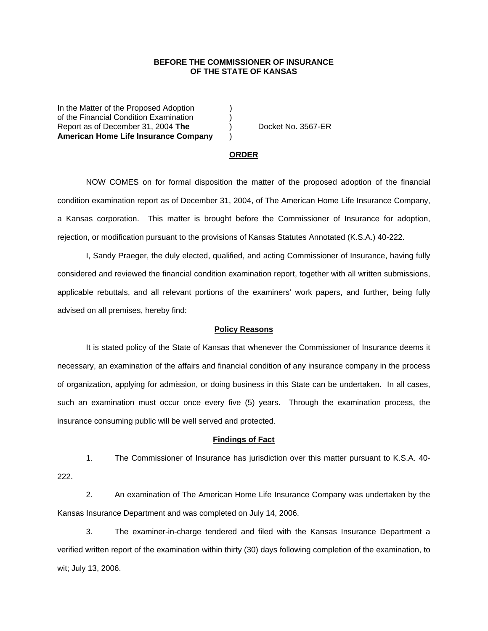## **BEFORE THE COMMISSIONER OF INSURANCE OF THE STATE OF KANSAS**

In the Matter of the Proposed Adoption of the Financial Condition Examination ) Report as of December 31, 2004 **The** ) Docket No. 3567-ER **American Home Life Insurance Company** )

#### **ORDER**

 NOW COMES on for formal disposition the matter of the proposed adoption of the financial condition examination report as of December 31, 2004, of The American Home Life Insurance Company, a Kansas corporation. This matter is brought before the Commissioner of Insurance for adoption, rejection, or modification pursuant to the provisions of Kansas Statutes Annotated (K.S.A.) 40-222.

 I, Sandy Praeger, the duly elected, qualified, and acting Commissioner of Insurance, having fully considered and reviewed the financial condition examination report, together with all written submissions, applicable rebuttals, and all relevant portions of the examiners' work papers, and further, being fully advised on all premises, hereby find:

### **Policy Reasons**

 It is stated policy of the State of Kansas that whenever the Commissioner of Insurance deems it necessary, an examination of the affairs and financial condition of any insurance company in the process of organization, applying for admission, or doing business in this State can be undertaken. In all cases, such an examination must occur once every five (5) years. Through the examination process, the insurance consuming public will be well served and protected.

#### **Findings of Fact**

 1. The Commissioner of Insurance has jurisdiction over this matter pursuant to K.S.A. 40- 222.

 2. An examination of The American Home Life Insurance Company was undertaken by the Kansas Insurance Department and was completed on July 14, 2006.

 3. The examiner-in-charge tendered and filed with the Kansas Insurance Department a verified written report of the examination within thirty (30) days following completion of the examination, to wit; July 13, 2006.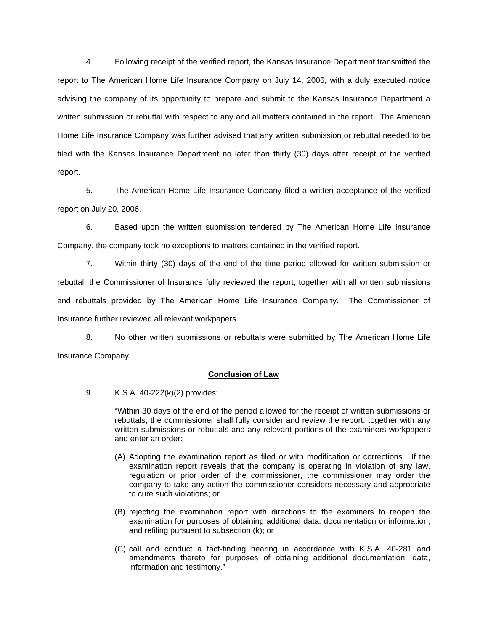4. Following receipt of the verified report, the Kansas Insurance Department transmitted the report to The American Home Life Insurance Company on July 14, 2006, with a duly executed notice advising the company of its opportunity to prepare and submit to the Kansas Insurance Department a written submission or rebuttal with respect to any and all matters contained in the report. The American Home Life Insurance Company was further advised that any written submission or rebuttal needed to be filed with the Kansas Insurance Department no later than thirty (30) days after receipt of the verified report.

 5. The American Home Life Insurance Company filed a written acceptance of the verified report on July 20, 2006.

6. Based upon the written submission tendered by The American Home Life Insurance Company, the company took no exceptions to matters contained in the verified report.

 7. Within thirty (30) days of the end of the time period allowed for written submission or rebuttal, the Commissioner of Insurance fully reviewed the report, together with all written submissions and rebuttals provided by The American Home Life Insurance Company. The Commissioner of Insurance further reviewed all relevant workpapers.

 8. No other written submissions or rebuttals were submitted by The American Home Life Insurance Company.

## **Conclusion of Law**

9. K.S.A. 40-222(k)(2) provides:

"Within 30 days of the end of the period allowed for the receipt of written submissions or rebuttals, the commissioner shall fully consider and review the report, together with any written submissions or rebuttals and any relevant portions of the examiners workpapers and enter an order:

- (A) Adopting the examination report as filed or with modification or corrections. If the examination report reveals that the company is operating in violation of any law, regulation or prior order of the commissioner, the commissioner may order the company to take any action the commissioner considers necessary and appropriate to cure such violations; or
- (B) rejecting the examination report with directions to the examiners to reopen the examination for purposes of obtaining additional data, documentation or information, and refiling pursuant to subsection (k); or
- (C) call and conduct a fact-finding hearing in accordance with K.S.A. 40-281 and amendments thereto for purposes of obtaining additional documentation, data, information and testimony."